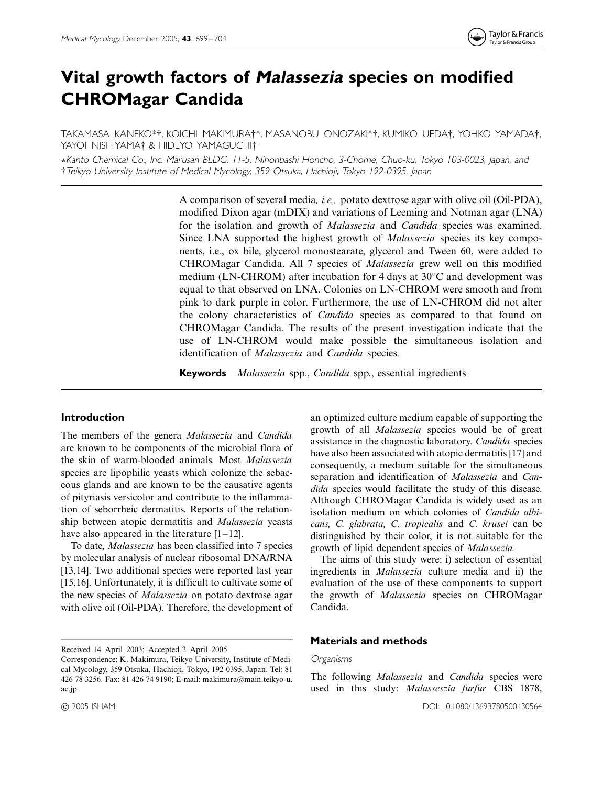# Vital growth factors of Malassezia species on modified CHROMagar Candida

TAKAMASA KANEKO\*†, KOICHI MAKIMURA†\*, MASANOBU ONOZAKI\*†, KUMIKO UEDA†, YOHKO YAMADA†, YAYOI NISHIYAMA<sup>†</sup> & HIDEYO YAMAGUCHI<sup>†</sup>

+Kanto Chemical Co., Inc. Marusan BLDG. 11-5, Nihonbashi Honcho, 3-Chome, Chuo-ku, Tokyo 103-0023, Japan, and \$Teikyo University Institute of Medical Mycology, <sup>359</sup> Otsuka, Hachioji, Tokyo 192-0395, Japan

> A comparison of several media, i.e., potato dextrose agar with olive oil (Oil-PDA), modified Dixon agar (mDIX) and variations of Leeming and Notman agar (LNA) for the isolation and growth of *Malassezia* and *Candida* species was examined. Since LNA supported the highest growth of *Malassezia* species its key components, i.e., ox bile, glycerol monostearate, glycerol and Tween 60, were added to CHROMagar Candida. All 7 species of Malassezia grew well on this modified medium (LN-CHROM) after incubation for 4 days at  $30^{\circ}$ C and development was equal to that observed on LNA. Colonies on LN-CHROM were smooth and from pink to dark purple in color. Furthermore, the use of LN-CHROM did not alter the colony characteristics of *Candida* species as compared to that found on CHROMagar Candida. The results of the present investigation indicate that the use of LN-CHROM would make possible the simultaneous isolation and identification of Malassezia and Candida species.

**Keywords** *Malassezia* spp., *Candida* spp., essential ingredients

## Introduction

The members of the genera Malassezia and Candida are known to be components of the microbial flora of the skin of warm-blooded animals. Most Malassezia species are lipophilic yeasts which colonize the sebaceous glands and are known to be the causative agents of pityriasis versicolor and contribute to the inflammation of seborrheic dermatitis. Reports of the relationship between atopic dermatitis and Malassezia yeasts have also appeared in the literature  $[1-12]$ .

To date, Malassezia has been classified into 7 species by molecular analysis of nuclear ribosomal DNA/RNA [13,14]. Two additional species were reported last year [15,16]. Unfortunately, it is difficult to cultivate some of the new species of Malassezia on potato dextrose agar with olive oil (Oil-PDA). Therefore, the development of

Received 14 April 2003; Accepted 2 April 2005

an optimized culture medium capable of supporting the growth of all Malassezia species would be of great assistance in the diagnostic laboratory. Candida species have also been associated with atopic dermatitis [17] and consequently, a medium suitable for the simultaneous separation and identification of Malassezia and Candida species would facilitate the study of this disease. Although CHROMagar Candida is widely used as an isolation medium on which colonies of Candida albicans, C. glabrata, C. tropicalis and C. krusei can be distinguished by their color, it is not suitable for the growth of lipid dependent species of Malassezia.

The aims of this study were: i) selection of essential ingredients in Malassezia culture media and ii) the evaluation of the use of these components to support the growth of Malassezia species on CHROMagar Candida.

#### Materials and methods

#### Organisms

The following *Malassezia* and *Candida* species were used in this study: Malasseszia furfur CBS 1878,

Correspondence: K. Makimura, Teikyo University, Institute of Medical Mycology, 359 Otsuka, Hachioji, Tokyo, 192-0395, Japan. Tel: 81 426 78 3256. Fax: 81 426 74 9190; E-mail: makimura@main.teikyo-u. ac.jp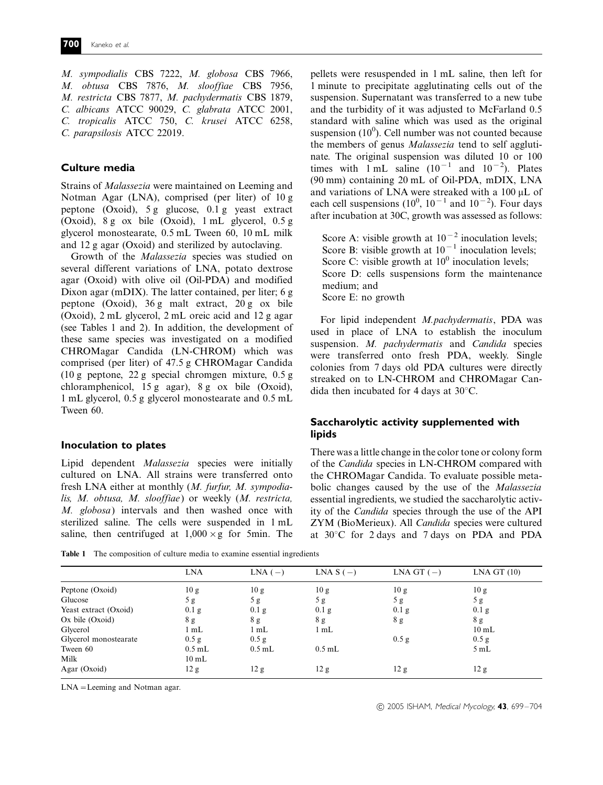M. sympodialis CBS 7222, M. globosa CBS 7966, M. obtusa CBS 7876, M. slooffiae CBS 7956, M. restricta CBS 7877, M. pachydermatis CBS 1879, C. albicans ATCC 90029, C. glabrata ATCC 2001, C. tropicalis ATCC 750, C. krusei ATCC 6258, C. parapsilosis ATCC 22019.

# Culture media

Strains of Malassezia were maintained on Leeming and Notman Agar (LNA), comprised (per liter) of 10 g peptone (Oxoid), 5 g glucose, 0.1 g yeast extract (Oxoid), 8 g ox bile (Oxoid), 1 mL glycerol, 0.5 g glycerol monostearate, 0.5 mL Tween 60, 10 mL milk and 12 g agar (Oxoid) and sterilized by autoclaving.

Growth of the Malassezia species was studied on several different variations of LNA, potato dextrose agar (Oxoid) with olive oil (Oil-PDA) and modified Dixon agar (mDIX). The latter contained, per liter; 6 g peptone (Oxoid), 36 g malt extract, 20 g ox bile (Oxoid), 2 mL glycerol, 2 mL oreic acid and 12 g agar (see Tables 1 and 2). In addition, the development of these same species was investigated on a modified CHROMagar Candida (LN-CHROM) which was comprised (per liter) of 47.5 g CHROMagar Candida (10 g peptone, 22 g special chromgen mixture, 0.5 g chloramphenicol, 15 g agar), 8 g ox bile (Oxoid), 1 mL glycerol, 0.5 g glycerol monostearate and 0.5 mL Tween 60.

#### Inoculation to plates

Lipid dependent Malassezia species were initially cultured on LNA. All strains were transferred onto fresh LNA either at monthly (M. furfur, M. sympodialis, M. obtusa, M. slooffiae) or weekly (M. restricta, M. globosa) intervals and then washed once with sterilized saline. The cells were suspended in 1 mL saline, then centrifuged at  $1,000 \times g$  for 5min. The

Table 1 The composition of culture media to examine essential ingredients

Score A: visible growth at  $10^{-2}$  inoculation levels; Score B: visible growth at  $10^{-1}$  inoculation levels; Score C: visible growth at  $10<sup>0</sup>$  inoculation levels; Score D: cells suspensions form the maintenance medium; and Score E: no growth

For lipid independent M.pachydermatis, PDA was used in place of LNA to establish the inoculum suspension. M. pachydermatis and Candida species were transferred onto fresh PDA, weekly. Single colonies from 7 days old PDA cultures were directly streaked on to LN-CHROM and CHROMagar Candida then incubated for 4 days at  $30^{\circ}$ C.

# Saccharolytic activity supplemented with lipids

There was a little change in the color tone or colony form of the Candida species in LN-CHROM compared with the CHROMagar Candida. To evaluate possible metabolic changes caused by the use of the Malassezia essential ingredients, we studied the saccharolytic activity of the Candida species through the use of the API ZYM (BioMerieux). All Candida species were cultured at  $30^{\circ}$ C for 2 days and 7 days on PDA and PDA

|                       | <b>LNA</b>      | $LNA(-)$ | LNA $S(-)$      | LNA GT $(-)$     | LNA GT (10)     |
|-----------------------|-----------------|----------|-----------------|------------------|-----------------|
| Peptone (Oxoid)       | 10g             | 10g      | 10 g            | 10 g             | 10 g            |
| Glucose               | 5g              | 5 g      | 5g              | 5g               | 5g              |
| Yeast extract (Oxoid) | $0.1$ g         | 0.1 g    | 0.1 g           | 0.1 <sub>g</sub> | $0.1$ g         |
| $Ox$ bile $(Oxoid)$   | 8 g             | 8 g      | 8g              | 8 g              | 8g              |
| Glycerol              | $1 \text{ mL}$  | 1 mL     | 1 mL            |                  | $10 \text{ mL}$ |
| Glycerol monostearate | 0.5 g           | 0.5 g    |                 | 0.5 g            | 0.5 g           |
| Tween 60              | $0.5$ mL        | $0.5$ mL | $0.5$ mL        |                  | 5mL             |
| Milk                  | $10 \text{ mL}$ |          |                 |                  |                 |
| Agar (Oxoid)          | 12 g            | 12 g     | 12 <sub>g</sub> | 12 g             | 12 g            |

 $LNA =$ Leeming and Notman agar.

© 2005 ISHAM, Medical Mycology, 43, 699-704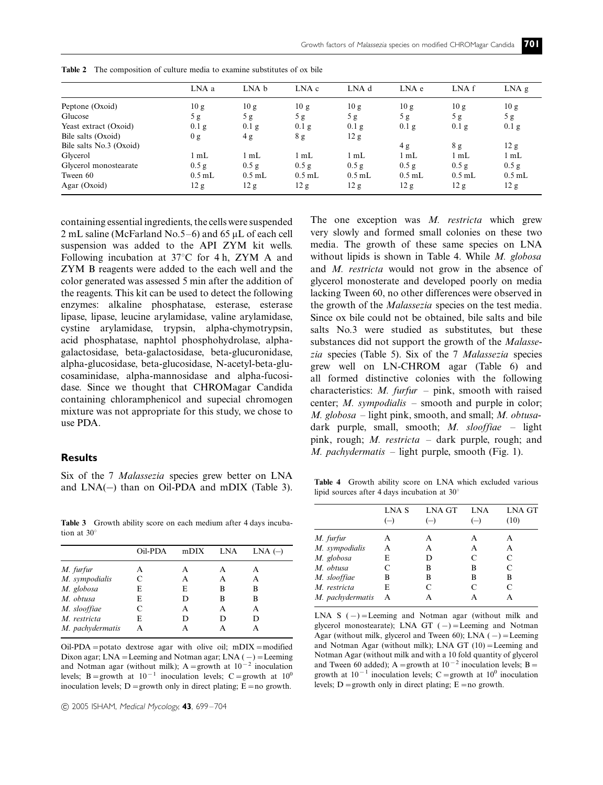|                         | LNA a    | LNA b    | LNA c          | LNA d    | LNA e    | LNA f          | $LNA$ g        |
|-------------------------|----------|----------|----------------|----------|----------|----------------|----------------|
| Peptone (Oxoid)         | 10 g     | 10 g     | 10 g           | 10 g     | 10g      | 10g            | 10 g           |
| Glucose                 | 5g       | 5g       | 5g             | 5g       | 5g       | 5g             | 5g             |
| Yeast extract (Oxoid)   | 0.1 g    | 0.1 g    | 0.1 g          | $0.1$ g  | $0.1$ g  | $0.1\text{ g}$ | $0.1\text{ g}$ |
| Bile salts (Oxoid)      | 0 g      | 4g       | 8g             | 12 g     |          |                |                |
| Bile salts No.3 (Oxoid) |          |          |                |          | 4g       | 8g             | 12 g           |
| Glycerol                | mL       | mL       | $1 \text{ mL}$ | l mL     | l mL     | 1 mL           | 1 mL           |
| Glycerol monostearate   | 0.5 g    | 0.5 g    | 0.5 g          | 0.5 g    | 0.5 g    | 0.5 g          | 0.5 g          |
| Tween 60                | $0.5$ mL | $0.5$ mL | $0.5$ mL       | $0.5$ mL | $0.5$ mL | $0.5$ mL       | $0.5$ mL       |
| Agar (Oxoid)            | 12 g     | 12 g     | 12 g           | 12 g     | 12 g     | 12 g           | 12 g           |

Table 2 The composition of culture media to examine substitutes of ox bile

containing essential ingredients, the cells were suspended 2 mL saline (McFarland No.5–6) and 65  $\mu$ L of each cell suspension was added to the API ZYM kit wells. Following incubation at  $37^{\circ}$ C for 4 h, ZYM A and ZYM B reagents were added to the each well and the color generated was assessed 5 min after the addition of the reagents. This kit can be used to detect the following enzymes: alkaline phosphatase, esterase, esterase lipase, lipase, leucine arylamidase, valine arylamidase, cystine arylamidase, trypsin, alpha-chymotrypsin, acid phosphatase, naphtol phosphohydrolase, alphagalactosidase, beta-galactosidase, beta-glucuronidase, alpha-glucosidase, beta-glucosidase, N-acetyl-beta-glucosaminidase, alpha-mannosidase and alpha-fucosidase. Since we thought that CHROMagar Candida containing chloramphenicol and supecial chromogen mixture was not appropriate for this study, we chose to use PDA.

#### Results

Six of the 7 Malassezia species grew better on LNA and  $LNA(-)$  than on Oil-PDA and mDIX (Table 3).

Table 3 Growth ability score on each medium after 4 days incubation at  $30^\circ$ 

|                  | Oil-PDA | mDIX | <b>LNA</b> | $LNA$ $(-)$ |
|------------------|---------|------|------------|-------------|
| M. furfur        | А       | А    | А          | А           |
| M. sympodialis   | C       | A    | А          | A           |
| M. globosa       | E       | E    | В          | В           |
| M. obtusa        | E       | D    | B          | B           |
| M. slooffiae     | C       | A    | А          | A           |
| M. restricta     | E       | D    | D          | D           |
| M. pachydermatis | А       |      |            |             |

 $Oil-PDA =$  potato dextrose agar with olive oil; mDIX = modified Dixon agar; LNA = Leeming and Notman agar; LNA ( $-)$  = Leeming and Notman agar (without milk);  $A =$ growth at  $10^{-2}$  inoculation levels; B = growth at  $10^{-1}$  inoculation levels; C = growth at  $10^{0}$ inoculation levels; D = growth only in direct plating; E = no growth.

© 2005 ISHAM, Medical Mycology, 43, 699-704

The one exception was  $M$ . *restricta* which grew very slowly and formed small colonies on these two media. The growth of these same species on LNA without lipids is shown in Table 4. While  $M.$  globosa and M. restricta would not grow in the absence of glycerol monosterate and developed poorly on media lacking Tween 60, no other differences were observed in the growth of the Malassezia species on the test media. Since ox bile could not be obtained, bile salts and bile salts No.3 were studied as substitutes, but these substances did not support the growth of the Malassezia species (Table 5). Six of the 7 Malassezia species grew well on LN-CHROM agar (Table 6) and all formed distinctive colonies with the following characteristics: *M. furfur*  $-$  pink, smooth with raised center; *M. sympodialis*  $-$  smooth and purple in color; M. globosa – light pink, smooth, and small; M. obtusadark purple, small, smooth; M. slooffiae - light pink, rough; M. restricta - dark purple, rough; and  $M.$  pachydermatis – light purple, smooth (Fig. 1).

Table 4 Growth ability score on LNA which excluded various lipid sources after 4 days incubation at  $30^\circ$ 

|                  | LNA S | <b>LNA GT</b> | <b>LNA</b> | <b>LNA GT</b> |
|------------------|-------|---------------|------------|---------------|
|                  |       |               |            | (10)          |
| M. furfur        | A     | А             | А          | А             |
| M. sympodialis   | A     | A             | А          | А             |
| M. globosa       | E     | D             | C          | C             |
| M. obtusa        | C     | B             | в          | C             |
| M. slooffiae     | B     | B             | B          | B             |
| M. restricta     | E     | C             | C          |               |
| M. pachydermatis | A     | А             |            |               |
|                  |       |               |            |               |

LNA S  $(-)$  = Leeming and Notman agar (without milk and glycerol monostearate); LNA GT  $(-)$  = Leeming and Notman Agar (without milk, glycerol and Tween 60); LNA  $(-)$  = Leeming and Notman Agar (without milk); LNA GT  $(10)$  = Leeming and Notman Agar (without milk and with a 10 fold quantity of glycerol and Tween 60 added); A = growth at  $10^{-2}$  inoculation levels; B = growth at  $10^{-1}$  inoculation levels; C = growth at  $10^{0}$  inoculation levels; D = growth only in direct plating; E = no growth.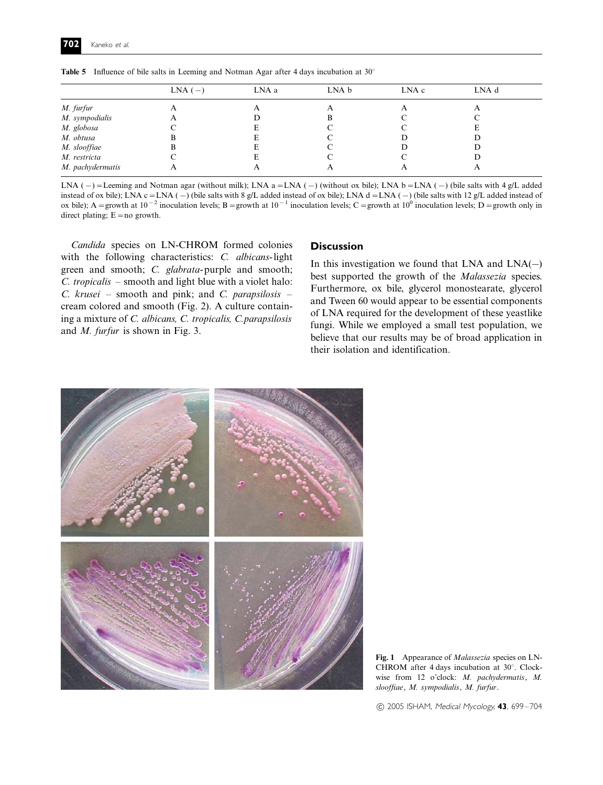|                  | $LNA(-)$ | LNA a | LNA b | LNA c | LNA d |  |
|------------------|----------|-------|-------|-------|-------|--|
| M. furfur        |          |       |       |       |       |  |
| M. sympodialis   |          |       |       |       |       |  |
| M. globosa       |          |       |       |       |       |  |
| M. obtusa        |          |       |       |       |       |  |
| M. slooffiae     |          |       |       |       |       |  |
| M. restricta     |          |       |       |       |       |  |
| M. pachydermatis |          |       |       |       |       |  |

**Table 5** Influence of bile salts in Leeming and Notman Agar after 4 days incubation at  $30^\circ$ 

LNA (-) = Leeming and Notman agar (without milk); LNA a = LNA (-) (without ox bile); LNA b = LNA (-) (bile salts with 4 g/L added instead of ox bile); LNA  $c = LNA$  (-) (bile salts with 8 g/L added instead of ox bile); LNA d = LNA (-) (bile salts with 12 g/L added instead of ox bile); A = growth at 10<sup>-2</sup> inoculation levels; B = growth at 10<sup>-1</sup> inoculation levels; C = growth at 10<sup>0</sup> inoculation levels; D = growth only in direct plating;  $E = no$  growth.

Candida species on LN-CHROM formed colonies with the following characteristics: C. albicans-light green and smooth; C. glabrata-purple and smooth; C. tropicalis – smooth and light blue with a violet halo:  $C.$  krusei – smooth and pink; and  $C.$  parapsilosis – cream colored and smooth (Fig. 2). A culture containing a mixture of C. albicans, C. tropicalis, C.parapsilosis and M. furfur is shown in Fig. 3.

## **Discussion**

In this investigation we found that LNA and  $LNA(-)$ best supported the growth of the Malassezia species. Furthermore, ox bile, glycerol monostearate, glycerol and Tween 60 would appear to be essential components of LNA required for the development of these yeastlike fungi. While we employed a small test population, we believe that our results may be of broad application in their isolation and identification.



Fig. 1 Appearance of *Malassezia* species on LN-CHROM after 4 days incubation at  $30^\circ$ . Clockwise from 12 o'clock: M. pachydermatis, M. slooffiae, M. sympodialis, M. furfur.

© 2005 ISHAM, Medical Mycology, 43, 699-704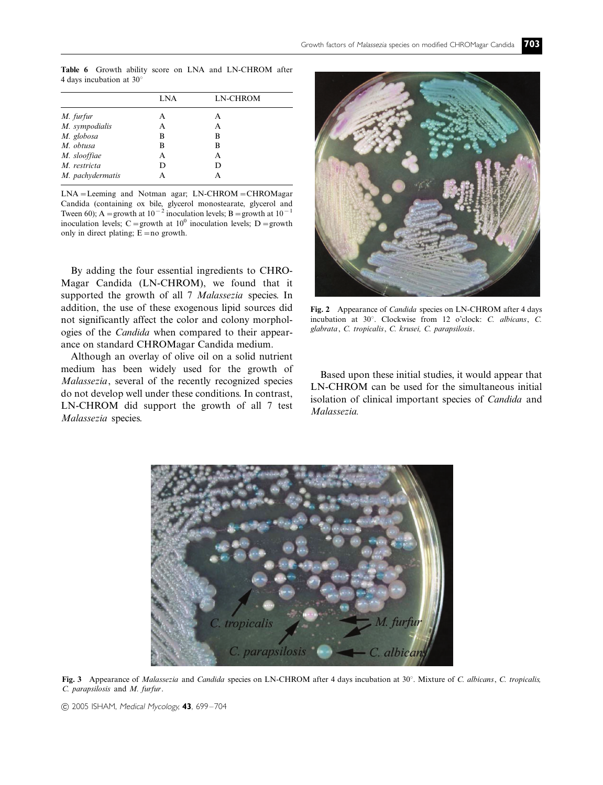Table 6 Growth ability score on LNA and LN-CHROM after 4 days incubation at  $30^\circ$ 

|                  | LNA | <b>LN-CHROM</b> |
|------------------|-----|-----------------|
| M. furfur        | А   | А               |
| M. sympodialis   | A   | А               |
| M. globosa       | В   | B               |
| M. obtusa        | R   | B               |
| M. slooffiae     | A   | А               |
| M. restricta     | D   | D               |
| M. pachydermatis |     |                 |

 $LNA =$ Leeming and Notman agar;  $LN$ -CHROM $=$ CHROMagar Candida (containing ox bile, glycerol monostearate, glycerol and Tween 60); A = growth at  $10^{-2}$  inoculation levels; B = growth at  $10^{-1}$ inoculation levels; C = growth at  $10^0$  inoculation levels; D = growth only in direct plating;  $\vec{E}$  = no growth.

By adding the four essential ingredients to CHRO-Magar Candida (LN-CHROM), we found that it supported the growth of all 7 Malassezia species. In addition, the use of these exogenous lipid sources did not significantly affect the color and colony morphologies of the Candida when compared to their appearance on standard CHROMagar Candida medium.

Although an overlay of olive oil on a solid nutrient medium has been widely used for the growth of Malassezia, several of the recently recognized species do not develop well under these conditions. In contrast, LN-CHROM did support the growth of all 7 test Malassezia species.



Fig. 2 Appearance of *Candida* species on LN-CHROM after 4 days incubation at 30°. Clockwise from 12 o'clock: C. albicans, C. glabrata, C. tropicalis, C. krusei, C. parapsilosis.

Based upon these initial studies, it would appear that LN-CHROM can be used for the simultaneous initial isolation of clinical important species of Candida and Malassezia.



Fig. 3 Appearance of Malassezia and Candida species on LN-CHROM after 4 days incubation at 30°. Mixture of C. albicans, C. tropicalis, C. parapsilosis and M. furfur.

<sup>© 2005</sup> ISHAM, Medical Mycology, 43, 699-704